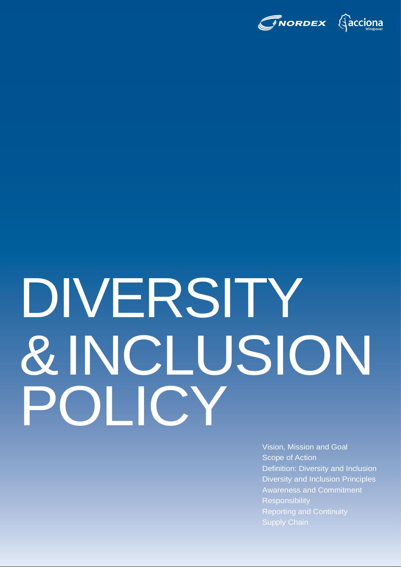

# DIVERSITY &INCLUSION POLICY

Vision, Mission and Goal Scope of Action Definition: Diversity and Inclusion Diversity and Inclusion Principles Awareness and Commitment **Responsibility** Reporting and Continuity Supply Chain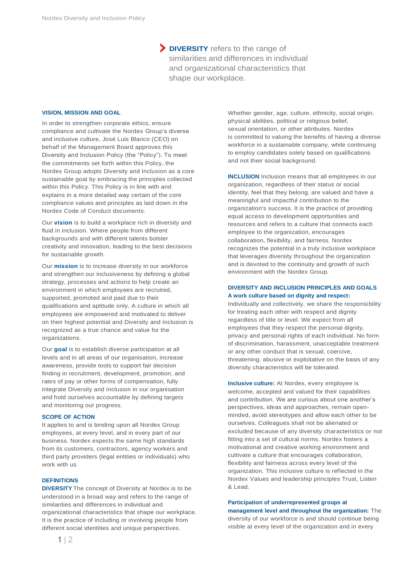**DIVERSITY** refers to the range of similarities and differences in individual and organizational characteristics that shape our workplace.

### **VISION, MISSION AND GOAL**

In order to strengthen corporate ethics, ensure compliance and cultivate the Nordex Group's diverse and inclusive culture, José Luis Blanco (CEO) on behalf of the Management Board approves this Diversity and Inclusion Policy (the "Policy"). To meet the commitments set forth within this Policy, the Nordex Group adopts Diversity and Inclusion as a core sustainable goal by embracing the principles collected within this Policy. This Policy is in line with and explains in a more detailed way certain of the core compliance values and principles as laid down in the Nordex Code of Conduct documents.

Our **vision** is to build a workplace rich in diversity and fluid in inclusion. Where people from different backgrounds and with different talents bolster creativity and innovation, leading to the best decisions for sustainable growth.

Our **mission** is to increase diversity in our workforce and strengthen our inclusiveness by defining a global strategy, processes and actions to help create an environment in which employees are recruited, supported, promoted and paid due to their qualifications and aptitude only. A culture in which all employees are empowered and motivated to deliver on their highest potential and Diversity and Inclusion is recognized as a true chance and value for the organizations.

Our **goal** is to establish diverse participation at all levels and in all areas of our organisation, increase awareness, provide tools to support fair decision finding in recruitment, development, promotion, and rates of pay or other forms of compensation, fully integrate Diversity and Inclusion in our organisation and hold ourselves accountable by defining targets and monitoring our progress.

# **SCOPE OF ACTION**

It applies to and is binding upon all Nordex Group employees, at every level, and in every part of our business. Nordex expects the same high standards from its customers, contractors, agency workers and third party providers (legal entities or individuals) who work with us.

### **DEFINITIONS**

**DIVERSITY** The concept of Diversity at Nordex is to be understood in a broad way and refers to the range of similarities and differences in individual and organizational characteristics that shape our workplace. It is the practice of including or involving people from different social identities and unique perspectives.

Whether gender, age, culture, ethnicity, social origin, physical abilities, political or religious belief, sexual orientation, or other attributes. Nordex is committed to valuing the benefits of having a diverse workforce in a sustainable company, while continuing to employ candidates solely based on qualifications and not their social background.

**INCLUSION** Inclusion means that all employees in our organization, regardless of their status or social identity, feel that they belong, are valued and have a meaningful and impactful contribution to the organization's success. It is the practice of providing equal access to development opportunities and resources and refers to a culture that connects each employee to the organization, encourages collaboration, flexibility, and fairness. Nordex recognizes the potential in a truly inclusive workplace that leverages diversity throughout the organization and is devoted to the continuity and growth of such environment with the Nordex Group.

# **DIVERSITY AND INCLUSION PRINCIPLES AND GOALS A work culture based on dignity and respect:**

Individually and collectively, we share the responsibility for treating each other with respect and dignity regardless of title or level. We expect from all employees that they respect the personal dignity, privacy and personal rights of each individual. No form of discrimination, harassment, unacceptable treatment or any other conduct that is sexual, coercive, threatening, abusive or exploitative on the basis of any diversity characteristics will be tolerated.

**Inclusive culture:** At Nordex, every employee is welcome, accepted and valued for their capabilities and contribution. We are curious about one another's perspectives, ideas and approaches, remain openminded, avoid stereotypes and allow each other to be ourselves. Colleagues shall not be alienated or excluded because of any diversity characteristics or not fitting into a set of cultural norms. Nordex fosters a motivational and creative working environment and cultivate a culture that encourages collaboration, flexibility and fairness across every level of the organization. This inclusive culture is reflected in the Nordex Values and leadership principles Trust, Listen & Lead.

**Participation of underrepresented groups at management level and throughout the organization:** The diversity of our workforce is and should continue being visible at every level of the organization and in every